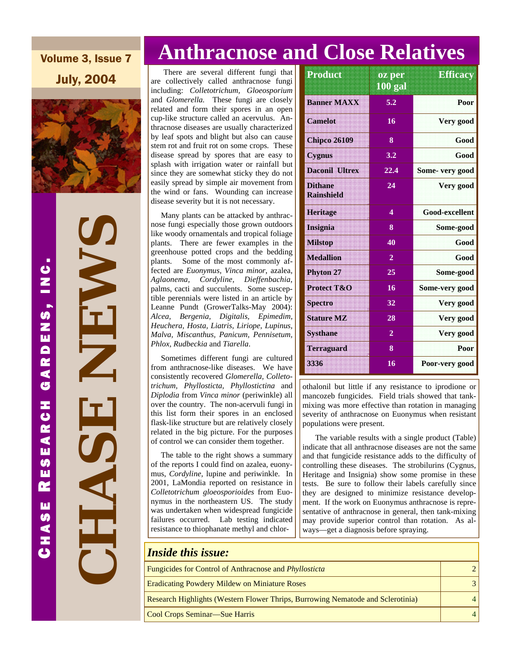Volume 3, Issue 7 July, 2004



 **CHASE NEWS**  NEW Ŧ CHAS

# **Anthracnose and Close Relatives**

 There are several different fungi that are collectively called anthracnose fungi including: *Colletotrichum, Gloeosporium* and *Glomerella.* These fungi are closely related and form their spores in an open cup-like structure called an acervulus. Anthracnose diseases are usually characterized by leaf spots and blight but also can cause stem rot and fruit rot on some crops. These disease spread by spores that are easy to splash with irrigation water or rainfall but since they are somewhat sticky they do not easily spread by simple air movement from the wind or fans. Wounding can increase disease severity but it is not necessary.

 Many plants can be attacked by anthracnose fungi especially those grown outdoors like woody ornamentals and tropical foliage plants. There are fewer examples in the greenhouse potted crops and the bedding plants. Some of the most commonly affected are *Euonymus, Vinca minor*, azalea, *Aglaonema, Cordyline, Dieffenbachia*, palms, cacti and succulents. Some susceptible perennials were listed in an article by Leanne Pundt (GrowerTalks-May 2004): *Alcea, Bergenia, Digitalis, Epimedim, Heuchera, Hosta, Liatris, Liriope, Lupinus, Malva, Miscanthus, Panicum, Pennisetum, Phlox, Rudbeckia* and *Tiarella*.

 Sometimes different fungi are cultured from anthracnose-like diseases. We have consistently recovered *Glomerella, Colletotrichum, Phyllosticta, Phyllostictina* and *Diplodia* from *Vinca minor* (periwinkle) all over the country. The non-acervuli fungi in this list form their spores in an enclosed flask-like structure but are relatively closely related in the big picture. For the purposes of control we can consider them together.

 The table to the right shows a summary of the reports I could find on azalea, euonymus, *Cordyline,* lupine and periwinkle. In 2001, LaMondia reported on resistance in *Colletotrichum gloeosporioides* from Euonymus in the northeastern US. The study was undertaken when widespread fungicide failures occurred. Lab testing indicated resistance to thiophanate methyl and chlor-

| Product                             | oz per<br>$100$ gal     | <b>Efficacy</b> |
|-------------------------------------|-------------------------|-----------------|
| <b>Banner MAXX</b>                  | 5.2                     | Poor            |
| Camelot                             | 16                      | Very good       |
| <b>Chipco 26109</b>                 | 8                       | Good            |
| <b>Cygnus</b>                       | 3.2                     | Good            |
| Daconil Ultrex                      | 22.4                    | Some- very good |
| <b>Dithane</b><br><b>Rainshield</b> | 24                      | Very good       |
| <b>Heritage</b>                     | $\overline{\mathbf{4}}$ | Good-excellent  |
| <b>Insignia</b>                     | 8                       | Some-good       |
| <b>Milstop</b>                      | 40                      | Good            |
| <b>Medallion</b>                    | $\overline{2}$          | Good            |
| <b>Phyton 27</b>                    | 25                      | Some-good       |
| <b>Protect T&amp;O</b>              | 16                      | Some-very good  |
| <b>Spectro</b>                      | 32                      | Very good       |
| <b>Stature MZ</b>                   | 28                      | Very good       |
| <b>Systhane</b>                     | $\overline{2}$          | Very good       |
| <b>Terraguard</b>                   | 8                       | Poor            |
| 3336                                | 16                      | Poor-very good  |

othalonil but little if any resistance to iprodione or mancozeb fungicides. Field trials showed that tankmixing was more effective than rotation in managing severity of anthracnose on Euonymus when resistant populations were present.

 The variable results with a single product (Table) indicate that all anthracnose diseases are not the same and that fungicide resistance adds to the difficulty of controlling these diseases. The strobilurins (Cygnus, Heritage and Insignia) show some promise in these tests. Be sure to follow their labels carefully since they are designed to minimize resistance development. If the work on Euonymus anthracnose is representative of anthracnose in general, then tank-mixing may provide superior control than rotation. As always—get a diagnosis before spraying.

#### *Inside this issue:*

| Fungicides for Control of Anthracnose and <i>Phyllosticta</i>                   |  |
|---------------------------------------------------------------------------------|--|
| <b>Eradicating Powdery Mildew on Miniature Roses</b>                            |  |
| Research Highlights (Western Flower Thrips, Burrowing Nematode and Sclerotinia) |  |
| Cool Crops Seminar—Sue Harris                                                   |  |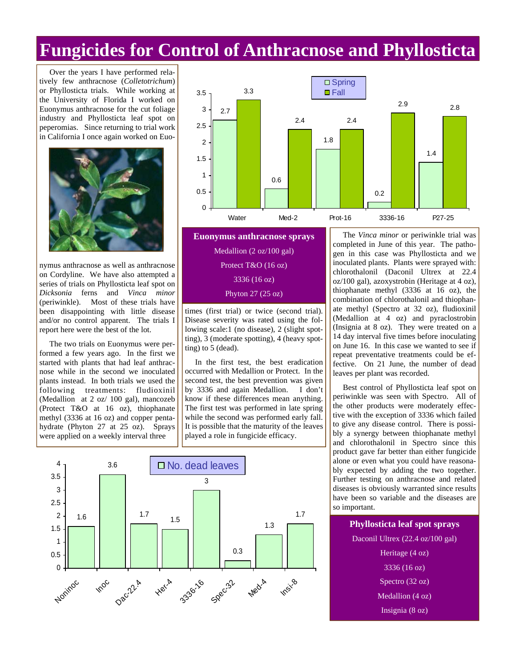## **Fungicides for Control of Anthracnose and Phyllosticta**

 Over the years I have performed relatively few anthracnose (*Colletotrichum*) or Phyllosticta trials. While working at the University of Florida I worked on Euonymus anthracnose for the cut foliage industry and Phyllosticta leaf spot on peperomias. Since returning to trial work in California I once again worked on Euo-



nymus anthracnose as well as anthracnose on Cordyline. We have also attempted a series of trials on Phyllosticta leaf spot on *Dicksonia* ferns and *Vinca minor*  (periwinkle). Most of these trials have been disappointing with little disease and/or no control apparent. The trials I report here were the best of the lot.

 The two trials on Euonymus were performed a few years ago. In the first we started with plants that had leaf anthracnose while in the second we inoculated plants instead. In both trials we used the following treatments: fludioxinil (Medallion at 2 oz/ 100 gal), mancozeb (Protect T&O at 16 oz), thiophanate methyl (3336 at 16 oz) and copper pentahydrate (Phyton 27 at 25 oz). Sprays were applied on a weekly interval three



**Euonymus anthracnose sprays** Medallion (2 oz/100 gal) Protect T&O (16 oz) 3336 (16 oz) Phyton 27 (25 oz)

times (first trial) or twice (second trial). Disease severity was rated using the following scale:1 (no disease), 2 (slight spotting), 3 (moderate spotting), 4 (heavy spotting) to 5 (dead).

 In the first test, the best eradication occurred with Medallion or Protect. In the second test, the best prevention was given by 3336 and again Medallion. I don't know if these differences mean anything. The first test was performed in late spring while the second was performed early fall. It is possible that the maturity of the leaves played a role in fungicide efficacy.



 The *Vinca minor* or periwinkle trial was completed in June of this year. The pathogen in this case was Phyllosticta and we inoculated plants. Plants were sprayed with: chlorothalonil (Daconil Ultrex at 22.4 oz/100 gal), azoxystrobin (Heritage at 4 oz), thiophanate methyl (3336 at 16 oz), the combination of chlorothalonil and thiophanate methyl (Spectro at 32 oz), fludioxinil (Medallion at 4 oz) and pyraclostrobin (Insignia at 8 oz). They were treated on a 14 day interval five times before inoculating on June 16. In this case we wanted to see if repeat preventative treatments could be effective. On 21 June, the number of dead leaves per plant was recorded.

 Best control of Phyllosticta leaf spot on periwinkle was seen with Spectro. All of the other products were moderately effective with the exception of 3336 which failed to give any disease control. There is possibly a synergy between thiophanate methyl and chlorothalonil in Spectro since this product gave far better than either fungicide alone or even what you could have reasonably expected by adding the two together. Further testing on anthracnose and related diseases is obviously warranted since results have been so variable and the diseases are so important.

**Phyllosticta leaf spot sprays** Daconil Ultrex (22.4 oz/100 gal) Heritage (4 oz) 3336 (16 oz) Spectro (32 oz) Medallion (4 oz) Insignia (8 oz)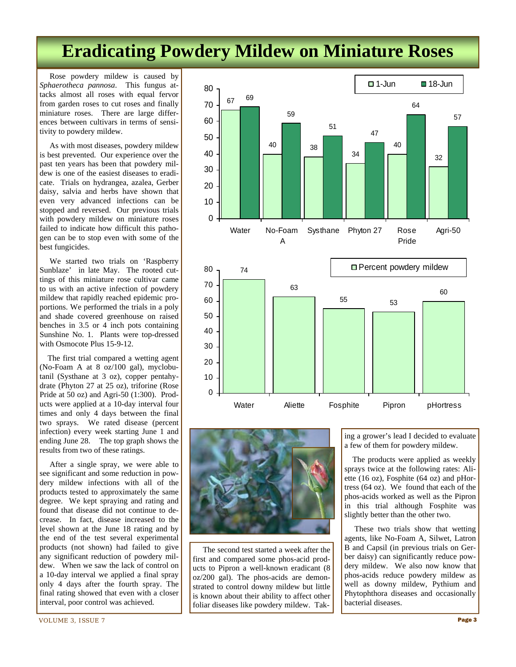# **Eradicating Powdery Mildew on Miniature Roses**

 Rose powdery mildew is caused by *Sphaerotheca pannosa*. This fungus attacks almost all roses with equal fervor from garden roses to cut roses and finally miniature roses. There are large differences between cultivars in terms of sensitivity to powdery mildew.

 As with most diseases, powdery mildew is best prevented. Our experience over the past ten years has been that powdery mildew is one of the easiest diseases to eradicate. Trials on hydrangea, azalea, Gerber daisy, salvia and herbs have shown that even very advanced infections can be stopped and reversed. Our previous trials with powdery mildew on miniature roses failed to indicate how difficult this pathogen can be to stop even with some of the best fungicides.

 We started two trials on 'Raspberry Sunblaze' in late May. The rooted cuttings of this miniature rose cultivar came to us with an active infection of powdery mildew that rapidly reached epidemic proportions. We performed the trials in a poly and shade covered greenhouse on raised benches in 3.5 or 4 inch pots containing Sunshine No. 1. Plants were top-dressed with Osmocote Plus 15-9-12.

 The first trial compared a wetting agent (No-Foam A at 8 oz/100 gal), myclobutanil (Systhane at 3 oz), copper pentahydrate (Phyton 27 at 25 oz), triforine (Rose Pride at 50 oz) and Agri-50 (1:300). Products were applied at a 10-day interval four times and only 4 days between the final two sprays. We rated disease (percent infection) every week starting June 1 and ending June 28. The top graph shows the results from two of these ratings.

 After a single spray, we were able to see significant and some reduction in powdery mildew infections with all of the products tested to approximately the same degree. We kept spraying and rating and found that disease did not continue to decrease. In fact, disease increased to the level shown at the June 18 rating and by the end of the test several experimental products (not shown) had failed to give any significant reduction of powdery mildew. When we saw the lack of control on a 10-day interval we applied a final spray only 4 days after the fourth spray. The final rating showed that even with a closer interval, poor control was achieved.





 The second test started a week after the first and compared some phos-acid products to Pipron a well-known eradicant (8 oz/200 gal). The phos-acids are demonstrated to control downy mildew but little is known about their ability to affect other foliar diseases like powdery mildew. Taking a grower's lead I decided to evaluate a few of them for powdery mildew.

 The products were applied as weekly sprays twice at the following rates: Aliette (16 oz), Fosphite (64 oz) and pHortress (64 oz). We found that each of the phos-acids worked as well as the Pipron in this trial although Fosphite was slightly better than the other two.

 These two trials show that wetting agents, like No-Foam A, Silwet, Latron B and Capsil (in previous trials on Gerber daisy) can significantly reduce powdery mildew. We also now know that phos-acids reduce powdery mildew as well as downy mildew, Pythium and Phytophthora diseases and occasionally bacterial diseases.